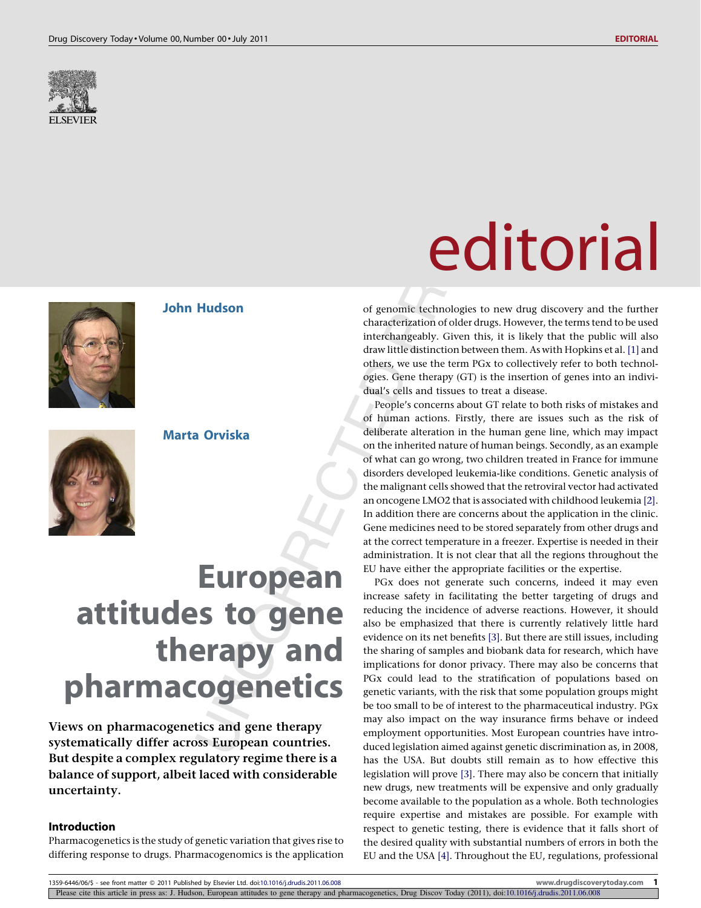



John Hudson



Marta Orviska

## European attitudes to gene therapy and pharmacogenetics

Views on pharmacogenetics and gene therapy systematically differ across European countries. But despite a complex regulatory regime there is a balance of support, albeit laced with considerable uncertainty.

### Introduction

Pharmacogenetics is the study of genetic variation that gives rise to differing response to drugs. Pharmacogenomics is the application

# editorial

of genomic technologies to new drug discovery and the further characterization of older drugs. However, the terms tend to be used interchangeably. Given this, it is likely that the public will also draw little distinction between them. As with Hopkins et al. [\[1\]](#page-3-0) and others, we use the term PGx to collectively refer to both technologies. Gene therapy (GT) is the insertion of genes into an individual's cells and tissues to treat a disease.

People's concerns about GT relate to both risks of mistakes and of human actions. Firstly, there are issues such as the risk of deliberate alteration in the human gene line, which may impact on the inherited nature of human beings. Secondly, as an example of what can go wrong, two children treated in France for immune disorders developed leukemia-like conditions. Genetic analysis of the malignant cells showed that the retroviral vector had activated an oncogene LMO2 that is associated with childhood leukemia [\[2\].](#page-3-0) In addition there are concerns about the application in the clinic. Gene medicines need to be stored separately from other drugs and at the correct temperature in a freezer. Expertise is needed in their administration. It is not clear that all the regions throughout the EU have either the appropriate facilities or the expertise.

PGx does not generate such concerns, indeed it may even increase safety in facilitating the better targeting of drugs and reducing the incidence of adverse reactions. However, it should also be emphasized that there is currently relatively little hard evidence on its net benefits [\[3\].](#page-3-0) But there are still issues, including the sharing of samples and biobank data for research, which have implications for donor privacy. There may also be concerns that PGx could lead to the stratification of populations based on genetic variants, with the risk that some population groups might be too small to be of interest to the pharmaceutical industry. PGx may also impact on the way insurance firms behave or indeed employment opportunities. Most European countries have introduced legislation aimed against genetic discrimination as, in 2008, has the USA. But doubts still remain as to how effective this legislation will prove [\[3\]](#page-3-0). There may also be concern that initially new drugs, new treatments will be expensive and only gradually become available to the population as a whole. Both technologies require expertise and mistakes are possible. For example with respect to genetic testing, there is evidence that it falls short of the desired quality with substantial numbers of errors in both the EU and the USA [\[4\].](#page-3-0) Throughout the EU, regulations, professional

Please cite this article in press as: J. Hudson, European attitudes to gene therapy and pharmacogenetics, Drug Discov Today (2011), doi[:10.1016/j.drudis.2011.06.008](http://dx.doi.org/10.1016/j.drudis.2011.06.008) 1359-6446/06/\$ - see front matter @ 2011 Published by Elsevier Ltd. doi[:10.1016/j.drudis.2011.06.008](http://dx.doi.org/10.1016/j.drudis.2011.06.008) www.drugdiscoverytoday.com 1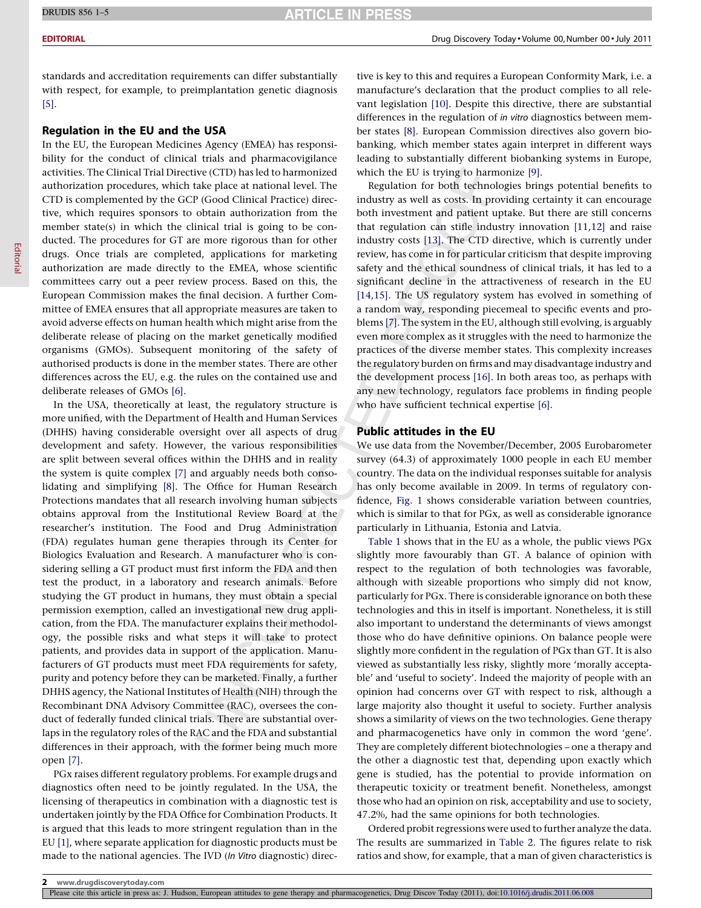### **ARTICLE IN PRESS**

standards and accreditation requirements can differ substantially with respect, for example, to preimplantation genetic diagnosis [\[5\]](#page-3-0).

#### Regulation in the EU and the USA

In the EU, the European Medicines Agency (EMEA) has responsibility for the conduct of clinical trials and pharmacovigilance activities. The Clinical Trial Directive (CTD) has led to harmonized authorization procedures, which take place at national level. The CTD is complemented by the GCP (Good Clinical Practice) directive, which requires sponsors to obtain authorization from the member state(s) in which the clinical trial is going to be conducted. The procedures for GT are more rigorous than for other drugs. Once trials are completed, applications for marketing authorization are made directly to the EMEA, whose scientific committees carry out a peer review process. Based on this, the European Commission makes the final decision. A further Committee of EMEA ensures that all appropriate measures are taken to avoid adverse effects on human health which might arise from the deliberate release of placing on the market genetically modified organisms (GMOs). Subsequent monitoring of the safety of authorised products is done in the member states. There are other differences across the EU, e.g. the rules on the contained use and deliberate releases of GMOs [\[6\]](#page-4-0).

In the USA, theoretically at least, the regulatory structure is more unified, with the Department of Health and Human Services (DHHS) having considerable oversight over all aspects of drug development and safety. However, the various responsibilities are split between several offices within the DHHS and in reality the system is quite complex [\[7\]](#page-4-0) and arguably needs both consolidating and simplifying [\[8\]](#page-4-0). The Office for Human Research Protections mandates that all research involving human subjects obtains approval from the Institutional Review Board at the researcher's institution. The Food and Drug Administration (FDA) regulates human gene therapies through its Center for Biologics Evaluation and Research. A manufacturer who is considering selling a GT product must first inform the FDA and then test the product, in a laboratory and research animals. Before studying the GT product in humans, they must obtain a special permission exemption, called an investigational new drug application, from the FDA. The manufacturer explains their methodology, the possible risks and what steps it will take to protect patients, and provides data in support of the application. Manufacturers of GT products must meet FDA requirements for safety, purity and potency before they can be marketed. Finally, a further DHHS agency, the National Institutes of Health (NIH) through the Recombinant DNA Advisory Committee (RAC), oversees the conduct of federally funded clinical trials. There are substantial overlaps in the regulatory roles of the RAC and the FDA and substantial differences in their approach, with the former being much more open [\[7\]](#page-4-0).

PGx raises different regulatory problems. For example drugs and diagnostics often need to be jointly regulated. In the USA, the licensing of therapeutics in combination with a diagnostic test is undertaken jointly by the FDA Office for Combination Products. It is argued that this leads to more stringent regulation than in the EU [\[1\],](#page-3-0) where separate application for diagnostic products must be made to the national agencies. The IVD (In Vitro diagnostic) direc-

tive is key to this and requires a European Conformity Mark, i.e. a manufacture's declaration that the product complies to all relevant legislation [\[10\]](#page-4-0). Despite this directive, there are substantial differences in the regulation of in vitro diagnostics between member states [\[8\]](#page-4-0). European Commission directives also govern biobanking, which member states again interpret in different ways leading to substantially different biobanking systems in Europe, which the EU is trying to harmonize [\[9\].](#page-4-0)

Regulation for both technologies brings potential benefits to industry as well as costs. In providing certainty it can encourage both investment and patient uptake. But there are still concerns that regulation can stifle industry innovation [\[11,12\]](#page-4-0) and raise industry costs [\[13\].](#page-4-0) The CTD directive, which is currently under review, has come in for particular criticism that despite improving safety and the ethical soundness of clinical trials, it has led to a significant decline in the attractiveness of research in the EU [\[14,15\]](#page-4-0). The US regulatory system has evolved in something of a random way, responding piecemeal to specific events and problems [\[7\]](#page-4-0). The system in the EU, although still evolving, is arguably even more complex as it struggles with the need to harmonize the practices of the diverse member states. This complexity increases the regulatory burden on firms and may disadvantage industry and the development process [\[16\].](#page-4-0) In both areas too, as perhaps with any new technology, regulators face problems in finding people who have sufficient technical expertise [\[6\].](#page-4-0)

#### Public attitudes in the EU

We use data from the November/December, 2005 Eurobarometer survey (64.3) of approximately 1000 people in each EU member country. The data on the individual responses suitable for analysis has only become available in 2009. In terms of regulatory confidence, [Fig.](#page-2-0) 1 shows considerable variation between countries, which is similar to that for PGx, as well as considerable ignorance particularly in Lithuania, Estonia and Latvia.

[Table](#page-2-0) 1 shows that in the EU as a whole, the public views PGx slightly more favourably than GT. A balance of opinion with respect to the regulation of both technologies was favorable, although with sizeable proportions who simply did not know, particularly for PGx. There is considerable ignorance on both these technologies and this in itself is important. Nonetheless, it is still also important to understand the determinants of views amongst those who do have definitive opinions. On balance people were slightly more confident in the regulation of PGx than GT. It is also viewed as substantially less risky, slightly more 'morally acceptable' and 'useful to society'. Indeed the majority of people with an opinion had concerns over GT with respect to risk, although a large majority also thought it useful to society. Further analysis shows a similarity of views on the two technologies. Gene therapy and pharmacogenetics have only in common the word 'gene'. They are completely different biotechnologies – one a therapy and the other a diagnostic test that, depending upon exactly which gene is studied, has the potential to provide information on therapeutic toxicity or treatment benefit. Nonetheless, amongst those who had an opinion on risk, acceptability and use to society, 47.2%, had the same opinions for both technologies.

Ordered probit regressions were used to further analyze the data. The results are summarized in [Table](#page-3-0) 2. The figures relate to risk ratios and show, for example, that a man of given characteristics is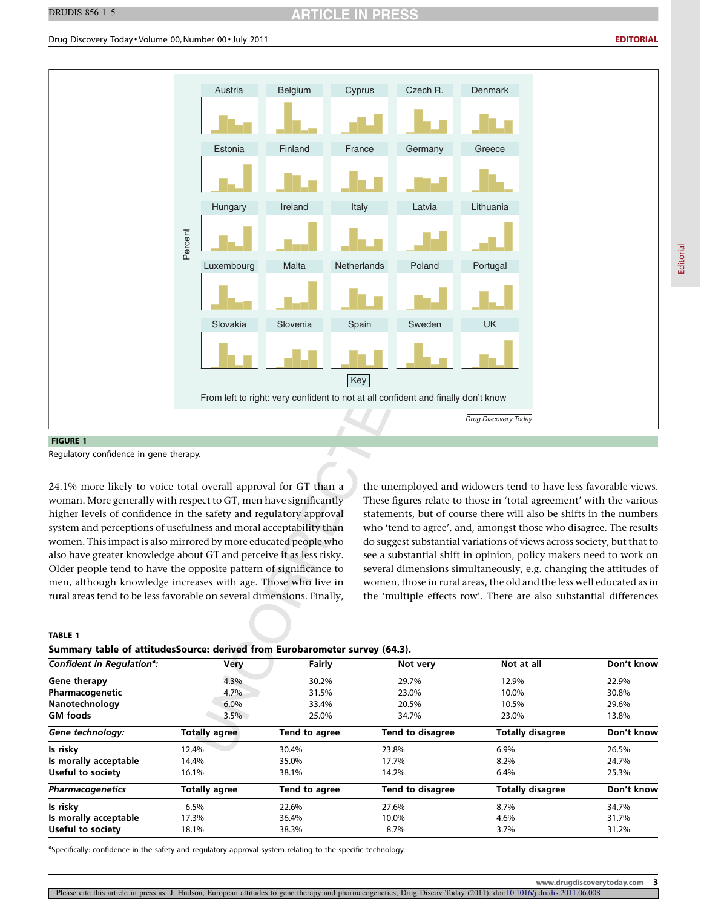**RTICLE IN PRESS** 



<span id="page-2-0"></span>

#### FIGURE 1

Regulatory confidence in gene therapy.

24.1% more likely to voice total overall approval for GT than a woman. More generally with respect to GT, men have significantly higher levels of confidence in the safety and regulatory approval system and perceptions of usefulness and moral acceptability than women. This impact is also mirrored by more educated people who also have greater knowledge about GT and perceive it as less risky. Older people tend to have the opposite pattern of significance to men, although knowledge increases with age. Those who live in rural areas tend to be less favorable on several dimensions. Finally,

the unemployed and widowers tend to have less favorable views. These figures relate to those in 'total agreement' with the various statements, but of course there will also be shifts in the numbers who 'tend to agree', and, amongst those who disagree. The results do suggest substantial variations of views across society, but that to see a substantial shift in opinion, policy makers need to work on several dimensions simultaneously, e.g. changing the attitudes of women, those in rural areas, the old and the less well educated as in the 'multiple effects row'. There are also substantial differences

#### TABLE 1

| Summary table of attitudesSource: derived from Eurobarometer survey (64.3). |                      |               |                         |                         |            |  |  |  |  |
|-----------------------------------------------------------------------------|----------------------|---------------|-------------------------|-------------------------|------------|--|--|--|--|
| Confident in Regulation <sup>a</sup> :                                      | Very                 | Fairly        | Not very                | Not at all              | Don't know |  |  |  |  |
| Gene therapy                                                                | 4.3%                 | 30.2%         | 29.7%                   | 12.9%                   | 22.9%      |  |  |  |  |
| Pharmacogenetic                                                             | 4.7%                 | 31.5%         | 23.0%                   | 10.0%                   | 30.8%      |  |  |  |  |
| Nanotechnology                                                              | 6.0%                 | 33.4%         | 20.5%                   | 10.5%                   | 29.6%      |  |  |  |  |
| <b>GM</b> foods                                                             | 3.5%                 | 25.0%         | 34.7%                   | 23.0%                   | 13.8%      |  |  |  |  |
| Gene technology:                                                            | Totally agree        | Tend to agree | Tend to disagree        | <b>Totally disagree</b> | Don't know |  |  |  |  |
| Is risky                                                                    | 12.4%                | 30.4%         | 23.8%                   | 6.9%                    | 26.5%      |  |  |  |  |
| Is morally acceptable                                                       | 14.4%                | 35.0%         | 17.7%                   | 8.2%                    | 24.7%      |  |  |  |  |
| Useful to society                                                           | 16.1%                | 38.1%         | 14.2%                   | 6.4%                    | 25.3%      |  |  |  |  |
| <b>Pharmacogenetics</b>                                                     | <b>Totally agree</b> | Tend to agree | <b>Tend to disagree</b> | <b>Totally disagree</b> | Don't know |  |  |  |  |
| Is risky                                                                    | 6.5%                 | 22.6%         | 27.6%                   | 8.7%                    | 34.7%      |  |  |  |  |
| Is morally acceptable                                                       | 17.3%                | 36.4%         | 10.0%                   | 4.6%                    | 31.7%      |  |  |  |  |
| Useful to society                                                           | 18.1%                | 38.3%         | 8.7%                    | 3.7%                    | 31.2%      |  |  |  |  |

aSpecifically: confidence in the safety and regulatory approval system relating to the specific technology.

www.drugdiscoverytoday.com 3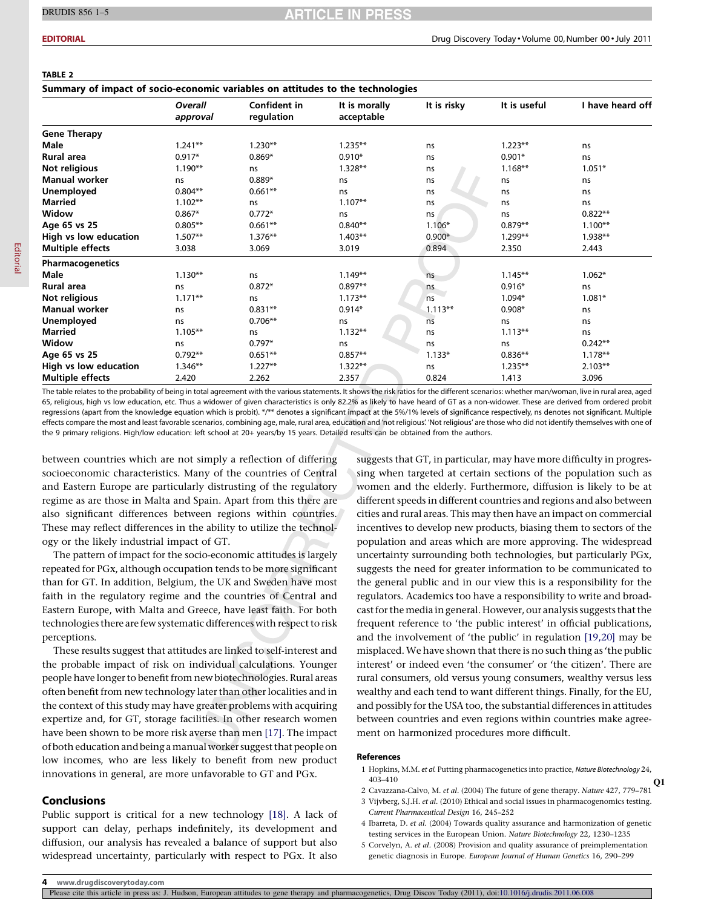**TICLE IN PRESS** 

#### <span id="page-3-0"></span>TABLE 2

|                         | <b>Overall</b><br>approval | Confident in<br>regulation | It is morally<br>acceptable | It is risky | It is useful | I have heard off |
|-------------------------|----------------------------|----------------------------|-----------------------------|-------------|--------------|------------------|
| <b>Gene Therapy</b>     |                            |                            |                             |             |              |                  |
| Male                    | $1.241**$                  | $1.230**$                  | $1.235***$                  | ns          | $1.223**$    | ns               |
| <b>Rural area</b>       | $0.917*$                   | $0.869*$                   | $0.910*$                    | ns          | $0.901*$     | ns               |
| Not religious           | $1.190**$                  | ns                         | $1.328**$                   | ns          | $1.168**$    | $1.051*$         |
| <b>Manual worker</b>    | ns                         | $0.889*$                   | ns                          | ns          | ns           | ns               |
| <b>Unemployed</b>       | $0.804**$                  | $0.661**$                  | ns                          | ns          | ns           | ns               |
| <b>Married</b>          | $1.102**$                  | ns                         | $1.107**$                   | ns          | ns           | ns               |
| Widow                   | $0.867*$                   | $0.772*$                   | ns                          | ns          | ns           | $0.822**$        |
| Age 65 vs 25            | $0.805***$                 | $0.661**$                  | $0.840**$                   | $1.106*$    | $0.879**$    | $1.100***$       |
| High vs low education   | $1.507**$                  | $1.376**$                  | $1.403**$                   | $0.900*$    | $1.299**$    | $1.938**$        |
| <b>Multiple effects</b> | 3.038                      | 3.069                      | 3.019                       | 0.894       | 2.350        | 2.443            |
| <b>Pharmacogenetics</b> |                            |                            |                             |             |              |                  |
| Male                    | $1.130***$                 | ns                         | $1.149**$                   | ns          | $1.145***$   | $1.062*$         |
| Rural area              | ns                         | $0.872*$                   | $0.897**$                   | ns.         | $0.916*$     | ns               |
| Not religious           | $1.171***$                 | ns                         | $1.173**$                   | ns          | $1.094*$     | $1.081*$         |
| <b>Manual worker</b>    | ns                         | $0.831**$                  | $0.914*$                    | $1.113***$  | $0.908*$     | ns               |
| <b>Unemployed</b>       | ns                         | $0.706**$                  | ns                          | ns          | ns           | ns               |
| <b>Married</b>          | $1.105***$                 | ns                         | $1.132**$                   | ns          | $1.113**$    | ns               |
| Widow                   | ns                         | $0.797*$                   | ns                          | ns          | ns           | $0.242**$        |
| Age 65 vs 25            | $0.792**$                  | $0.651**$                  | $0.857**$                   | $1.133*$    | $0.836**$    | $1.178**$        |
| High vs low education   | $1.346**$                  | $1.227**$                  | $1.322**$                   | ns          | $1.235**$    | $2.103**$        |
| <b>Multiple effects</b> | 2.420                      | 2.262                      | 2.357                       | 0.824       | 1.413        | 3.096            |

The table relates to the probability of being in total agreement with the various statements. It shows the risk ratios for the different scenarios: whether man/woman, live in rural area, aged 65, religious, high vs low education, etc. Thus a widower of given characteristics is only 82.2% as likely to have heard of GT as a non-widower. These are derived from ordered probit regressions (apart from the knowledge equation which is probit). \*/\*\* denotes a significant impact at the 5%/1% levels of significance respectively, ns denotes not significant. Multiple effects compare the most and least favorable scenarios, combining age, male, rural area, education and 'not religious'. 'Not religious' are those who did not identify themselves with one of the 9 primary religions. High/low education: left school at 20+ years/by 15 years. Detailed results can be obtained from the authors.

between countries which are not simply a reflection of differing socioeconomic characteristics. Many of the countries of Central and Eastern Europe are particularly distrusting of the regulatory regime as are those in Malta and Spain. Apart from this there are also significant differences between regions within countries. These may reflect differences in the ability to utilize the technology or the likely industrial impact of GT.

The pattern of impact for the socio-economic attitudes is largely repeated for PGx, although occupation tends to be more significant than for GT. In addition, Belgium, the UK and Sweden have most faith in the regulatory regime and the countries of Central and Eastern Europe, with Malta and Greece, have least faith. For both technologies there are few systematic differences with respect to risk perceptions.

These results suggest that attitudes are linked to self-interest and the probable impact of risk on individual calculations. Younger people have longer to benefit from new biotechnologies. Rural areas often benefit from new technology later than other localities and in the context of this study may have greater problems with acquiring expertize and, for GT, storage facilities. In other research women have been shown to be more risk averse than men [\[17\]](#page-4-0). The impact of both education and being a manual worker suggest that people on low incomes, who are less likely to benefit from new product innovations in general, are more unfavorable to GT and PGx.

#### Conclusions

Public support is critical for a new technology [\[18\]](#page-4-0). A lack of support can delay, perhaps indefinitely, its development and diffusion, our analysis has revealed a balance of support but also widespread uncertainty, particularly with respect to PGx. It also

suggests that GT, in particular, may have more difficulty in progressing when targeted at certain sections of the population such as women and the elderly. Furthermore, diffusion is likely to be at different speeds in different countries and regions and also between cities and rural areas. This may then have an impact on commercial incentives to develop new products, biasing them to sectors of the population and areas which are more approving. The widespread uncertainty surrounding both technologies, but particularly PGx, suggests the need for greater information to be communicated to the general public and in our view this is a responsibility for the regulators. Academics too have a responsibility to write and broadcast for the media in general. However, our analysis suggests that the frequent reference to 'the public interest' in official publications, and the involvement of 'the public' in regulation [\[19,20\]](#page-4-0) may be misplaced. We have shown that there is no such thing as 'the public interest' or indeed even 'the consumer' or 'the citizen'. There are rural consumers, old versus young consumers, wealthy versus less wealthy and each tend to want different things. Finally, for the EU, and possibly for the USA too, the substantial differences in attitudes between countries and even regions within countries make agreement on harmonized procedures more difficult.

#### References

- 1 Hopkins, M.M. et al. Putting pharmacogenetics into practice, Nature Biotechnology 24, 403 Q1 –410 2 Cavazzana-Calvo, M. et al. (2004) The future of gene therapy. Nature 427, 779–781
- 3 Vijvberg, S.J.H. et al. (2010) Ethical and social issues in pharmacogenomics testing.
- Current Pharmaceutical Design 16, 245–252 4 Ibarreta, D. et al. (2004) Towards quality assurance and harmonization of genetic
- testing services in the European Union. Nature Biotechnology 22, 1230–1235 5 Corvelyn, A. et al. (2008) Provision and quality assurance of preimplementation
- genetic diagnosis in Europe. European Journal of Human Genetics 16, 290–299